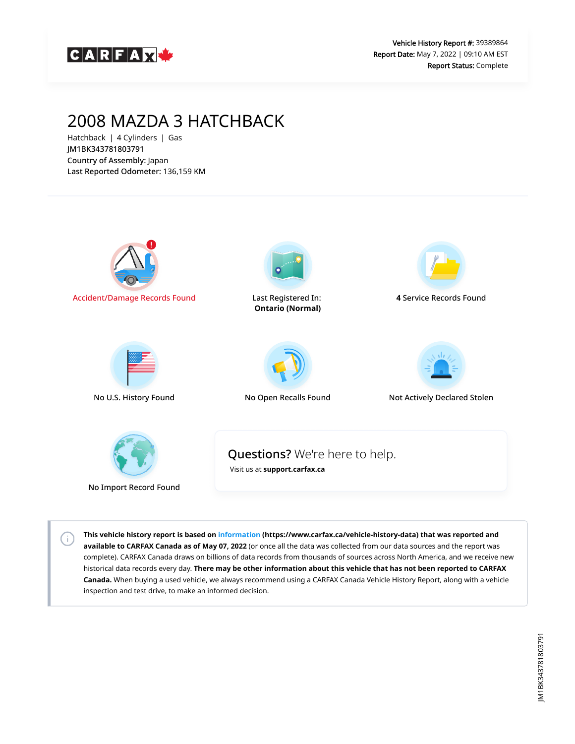

## 2008 MAZDA 3 HATCHBACK

Hatchback | 4 Cylinders | Gas JM1BK343781803791 Country of Assembly: Japan Last Reported Odometer: 136,159 KM

 $\left( \cdot \right)$ 



**This vehicle history report is based on [information](https://www.carfax.ca/vehicle-history-data) (https://www.carfax.ca/vehicle-history-data) that was reported and available to CARFAX Canada as of May 07, 2022** (or once all the data was collected from our data sources and the report was complete). CARFAX Canada draws on billions of data records from thousands of sources across North America, and we receive new historical data records every day. **There may be other information about this vehicle that has not been reported to CARFAX Canada.** When buying a used vehicle, we always recommend using a CARFAX Canada Vehicle History Report, along with a vehicle inspection and test drive, to make an informed decision.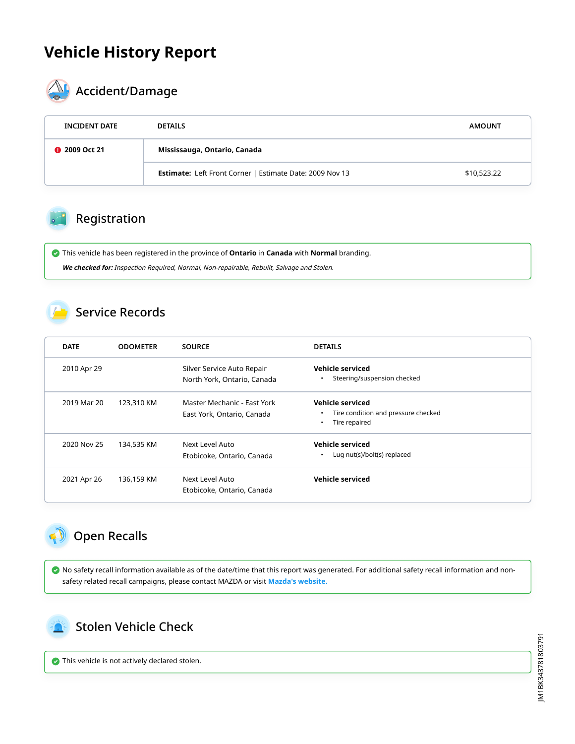## **Vehicle History Report**



# **AL** Accident/Damage

| <b>INCIDENT DATE</b> | <b>DETAILS</b>                                                  | <b>AMOUNT</b> |  |
|----------------------|-----------------------------------------------------------------|---------------|--|
| <b>@</b> 2009 Oct 21 | Mississauga, Ontario, Canada                                    |               |  |
|                      | <b>Estimate:</b> Left Front Corner   Estimate Date: 2009 Nov 13 | \$10,523.22   |  |

#### Registration

 This vehicle has been registered in the province of **Ontario** in **Canada** with **Normal** branding. **We checked for:** Inspection Required, Normal, Non-repairable, Rebuilt, Salvage and Stolen.

#### Service Records

| <b>DATE</b> | <b>ODOMETER</b> | <b>SOURCE</b>                                             | <b>DETAILS</b>                                                                        |
|-------------|-----------------|-----------------------------------------------------------|---------------------------------------------------------------------------------------|
| 2010 Apr 29 |                 | Silver Service Auto Repair<br>North York, Ontario, Canada | <b>Vehicle serviced</b><br>Steering/suspension checked<br>$\bullet$                   |
| 2019 Mar 20 | 123,310 KM      | Master Mechanic - Fast York<br>East York, Ontario, Canada | Vehicle serviced<br>Tire condition and pressure checked<br>Tire repaired<br>$\bullet$ |
| 2020 Nov 25 | 134,535 KM      | Next Level Auto<br>Etobicoke, Ontario, Canada             | Vehicle serviced<br>Lug nut(s)/bolt(s) replaced<br>$\bullet$                          |
| 2021 Apr 26 | 136,159 KM      | Next Level Auto<br>Etobicoke, Ontario, Canada             | <b>Vehicle serviced</b>                                                               |

### <span id="page-1-0"></span>Open Recalls

 No safety recall information available as of the date/time that this report was generated. For additional safety recall information and nonsafety related recall campaigns, please contact MAZDA or visit **[Mazda's website.](https://www.mazda.ca/en/owners/recalls/)**

<span id="page-1-1"></span>

This vehicle is not actively declared stolen.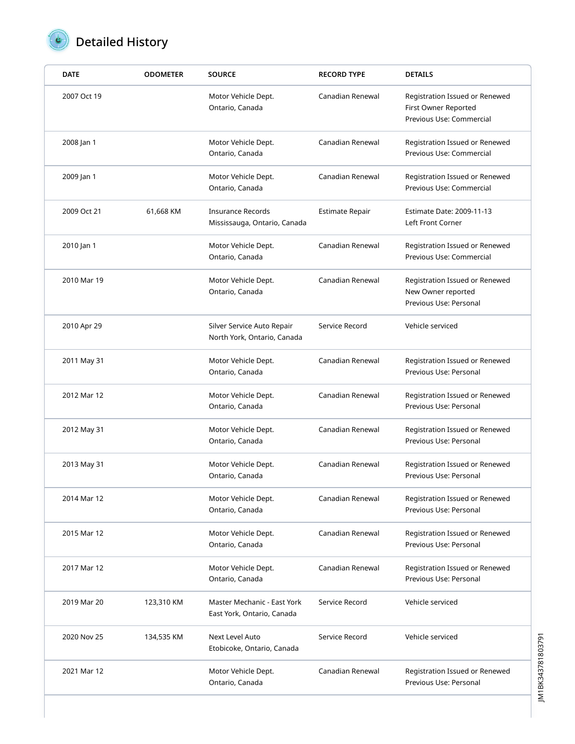

# **D** Detailed History

| <b>DATE</b> | <b>ODOMETER</b> | <b>SOURCE</b>                                             | <b>RECORD TYPE</b> | <b>DETAILS</b>                                                                     |
|-------------|-----------------|-----------------------------------------------------------|--------------------|------------------------------------------------------------------------------------|
| 2007 Oct 19 |                 | Motor Vehicle Dept.<br>Ontario, Canada                    | Canadian Renewal   | Registration Issued or Renewed<br>First Owner Reported<br>Previous Use: Commercial |
| 2008 Jan 1  |                 | Motor Vehicle Dept.<br>Ontario, Canada                    | Canadian Renewal   | Registration Issued or Renewed<br>Previous Use: Commercial                         |
| 2009 Jan 1  |                 | Motor Vehicle Dept.<br>Ontario, Canada                    | Canadian Renewal   | Registration Issued or Renewed<br>Previous Use: Commercial                         |
| 2009 Oct 21 | 61,668 KM       | <b>Insurance Records</b><br>Mississauga, Ontario, Canada  | Estimate Repair    | Estimate Date: 2009-11-13<br>Left Front Corner                                     |
| 2010 Jan 1  |                 | Motor Vehicle Dept.<br>Ontario, Canada                    | Canadian Renewal   | Registration Issued or Renewed<br>Previous Use: Commercial                         |
| 2010 Mar 19 |                 | Motor Vehicle Dept.<br>Ontario, Canada                    | Canadian Renewal   | Registration Issued or Renewed<br>New Owner reported<br>Previous Use: Personal     |
| 2010 Apr 29 |                 | Silver Service Auto Repair<br>North York, Ontario, Canada | Service Record     | Vehicle serviced                                                                   |
| 2011 May 31 |                 | Motor Vehicle Dept.<br>Ontario, Canada                    | Canadian Renewal   | Registration Issued or Renewed<br>Previous Use: Personal                           |
| 2012 Mar 12 |                 | Motor Vehicle Dept.<br>Ontario, Canada                    | Canadian Renewal   | Registration Issued or Renewed<br>Previous Use: Personal                           |
| 2012 May 31 |                 | Motor Vehicle Dept.<br>Ontario, Canada                    | Canadian Renewal   | Registration Issued or Renewed<br>Previous Use: Personal                           |
| 2013 May 31 |                 | Motor Vehicle Dept.<br>Ontario, Canada                    | Canadian Renewal   | Registration Issued or Renewed<br>Previous Use: Personal                           |
| 2014 Mar 12 |                 | Motor Vehicle Dept.<br>Ontario, Canada                    | Canadian Renewal   | Registration Issued or Renewed<br>Previous Use: Personal                           |
| 2015 Mar 12 |                 | Motor Vehicle Dept.<br>Ontario, Canada                    | Canadian Renewal   | Registration Issued or Renewed<br>Previous Use: Personal                           |
| 2017 Mar 12 |                 | Motor Vehicle Dept.<br>Ontario, Canada                    | Canadian Renewal   | Registration Issued or Renewed<br>Previous Use: Personal                           |
| 2019 Mar 20 | 123,310 KM      | Master Mechanic - East York<br>East York, Ontario, Canada | Service Record     | Vehicle serviced                                                                   |
| 2020 Nov 25 | 134,535 KM      | Next Level Auto<br>Etobicoke, Ontario, Canada             | Service Record     | Vehicle serviced                                                                   |
| 2021 Mar 12 |                 | Motor Vehicle Dept.<br>Ontario, Canada                    | Canadian Renewal   | Registration Issued or Renewed<br>Previous Use: Personal                           |